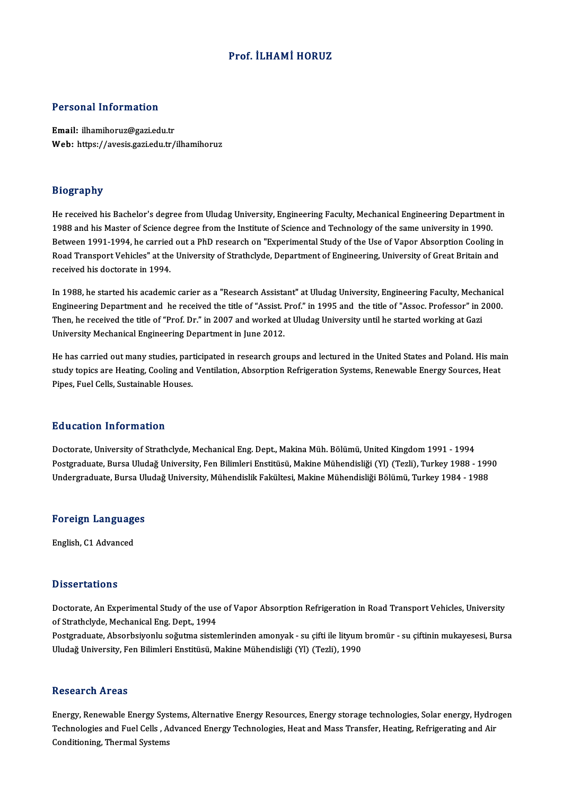### Prof. İLHAMİ HORUZ

#### Personal Information

Email: ilhamihoruz@gazi.edu.tr Web: https://avesis.gazi.edu.tr/ilhamihoruz

### Biography

He received his Bachelor's degree from Uludag University, Engineering Faculty, Mechanical Engineering Department in 1988 and his Master of Science degree from the Institute of Science and Technology of the same university in 1990. Between 1991-1994, he carried out a PhD research on "Experimental Study of the Use of Vapor Absorption Cooling in 1988 and his Master of Science degree from the Institute of Science and Technology of the same university in 1990.<br>Between 1991-1994, he carried out a PhD research on "Experimental Study of the Use of Vapor Absorption Cool Between 1991-1994, he carried<br>Road Transport Vehicles" at the<br>received his doctorate in 1994. received his doctorate in 1994.<br>In 1988, he started his academic carier as a "Research Assistant" at Uludag University, Engineering Faculty, Mechanical

received ins doctorate in 1994.<br>In 1988, he started his academic carier as a "Research Assistant" at Uludag University, Engineering Faculty, Mechanical<br>Engineering Department and he received the title of "Assist. Prof." i In 1988, he started his academic carier as a "Research Assistant" at Uludag University, Engineering Faculty, Mecha<br>Engineering Department and he received the title of "Assist. Prof." in 1995 and the title of "Assoc. Prof Engineering Department and he received the title of "Assist. I<br>Then, he received the title of "Prof. Dr." in 2007 and worked a<br>University Mechanical Engineering Department in June 2012.

He has carried out many studies, participated in research groups and lectured in the United States and Poland. His main<br>He has carried out many studies, participated in research groups and lectured in the United States and study topical and an engineering Bepartment in June 2012.<br>He has carried out many studies, participated in research groups and lectured in the United States and Poland.<br>Rings Euel Cells Systemable Houses. He has carried out many studies, part<br>study topics are Heating, Cooling and<br>Pipes, Fuel Cells, Sustainable Houses. Pipes, Fuel Cells, Sustainable Houses.<br>Education Information

<mark>Education Information</mark><br>Doctorate, University of Strathclyde, Mechanical Eng. Dept., Makina Müh. Bölümü, United Kingdom 1991 - 1994<br>Postsraduata Bursa Uludağ University, Ean Bilimleri Enstitüsü, Makina Mühandisliği (VI) (T Pu u sutron "Informution"<br>Doctorate, University of Strathclyde, Mechanical Eng. Dept., Makina Müh. Bölümü, United Kingdom 1991 - 1994<br>Indergraduate, Bursa Uludağ University, Fen Bilimleri Enstitüsü, Makine Mühendisliği (Yl Doctorate, University of Strathclyde, Mechanical Eng. Dept., Makina Müh. Bölümü, United Kingdom 1991 - 1994<br>Postgraduate, Bursa Uludağ University, Fen Bilimleri Enstitüsü, Makine Mühendisliği (Yl) (Tezli), Turkey 1988 - 19 Undergraduate, Bursa Uludağ University, Mühendislik Fakültesi, Makine Mühendisliği Bölümü, Turkey 1984 - 1988<br>Foreign Languages

English, C1 Advanced

#### **Dissertations**

Dissertations<br>Doctorate, An Experimental Study of the use of Vapor Absorption Refrigeration in Road Transport Vehicles, University<br>Of Strathelyde, Mechanisel Eng. Dept. 1994 of Strathclife<br>Doctorate, An Experimental Study of the use<br>of Strathclyde, Mechanical Eng. Dept., 1994<br>Restanduate, Absorbsiveniu seğutme siste Doctorate, An Experimental Study of the use of Vapor Absorption Refrigeration in Road Transport Vehicles, University<br>of Strathclyde, Mechanical Eng. Dept., 1994<br>Postgraduate, Absorbsiyonlu soğutma sistemlerinden amonyak -

of Strathclyde, Mechanical Eng. Dept., 1994<br>Postgraduate, Absorbsiyonlu soğutma sistemlerinden amonyak - su çifti ile lityum<br>Uludağ University, Fen Bilimleri Enstitüsü, Makine Mühendisliği (Yl) (Tezli), 1990 Uludağ University, Fen Bilimleri Enstitüsü, Makine Mühendisliği (Yl) (Tezli), 1990<br>Research Areas

Energy, Renewable Energy Systems, Alternative Energy Resources, Energy storage technologies, Solar energy, Hydrogen Techeut on Trieus<br>Energy, Renewable Energy Systems, Alternative Energy Resources, Energy storage technologies, Solar energy, Hydro<br>Technologies and Fuel Cells , Advanced Energy Technologies, Heat and Mass Transfer, Heating Energy, Renewable Energy Sys<br>Technologies and Fuel Cells , A<br>Conditioning, Thermal Systems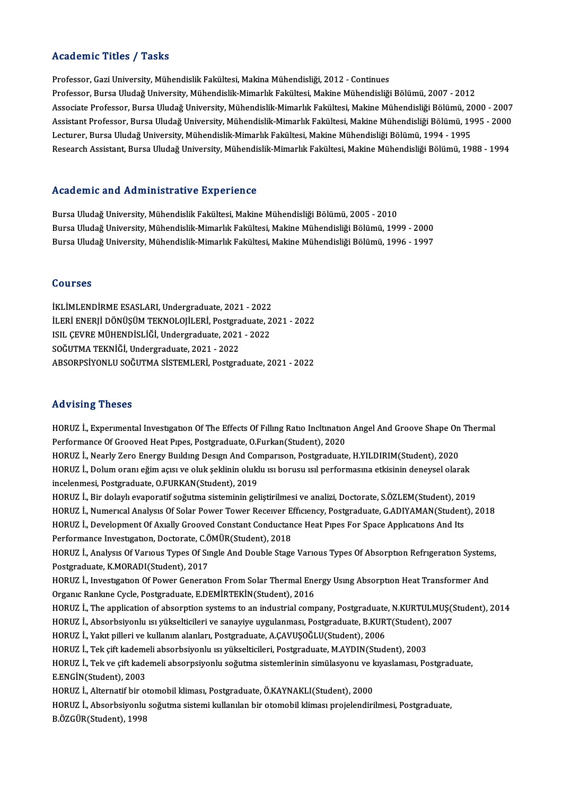### Academic Titles / Tasks

Professor, Gazi University, Mühendislik Fakültesi, Makina Mühendisliği, 2012 - Continues Professor, Bursa Uludağ University, Mühendislik-Mimarlık Fakültesi, Makine Mühendisliği Bölümü, 2007 - 2012 Professor, Gazi University, Mühendislik Fakültesi, Makina Mühendisliği, 2012 - Continues<br>Professor, Bursa Uludağ University, Mühendislik-Mimarlık Fakültesi, Makine Mühendisliği Bölümü, 2007 - 2012<br>Associate Professor, Burs Professor, Bursa Uludağ University, Mühendislik-Mimarlık Fakültesi, Makine Mühendisliği Bölümü, 2007 - 2012<br>Associate Professor, Bursa Uludağ University, Mühendislik-Mimarlık Fakültesi, Makine Mühendisliği Bölümü, 2000 - 2 Associate Professor, Bursa Uludağ University, Mühendislik-Mimarlık Fakültesi, Makine Mühendisliği Bölümü, 20<br>Assistant Professor, Bursa Uludağ University, Mühendislik-Mimarlık Fakültesi, Makine Mühendisliği Bölümü, 19<br>Lect Assistant Professor, Bursa Uludağ University, Mühendislik-Mimarlık Fakültesi, Makine Mühendisliği Bölümü, 1995 - 2000<br>Lecturer, Bursa Uludağ University, Mühendislik-Mimarlık Fakültesi, Makine Mühendisliği Bölümü, 1994 - 19

### Academic and Administrative Experience

Bursa Uludağ University, Mühendislik Fakültesi, Makine Mühendisliği Bölümü, 2005 - 2010 Bursa Uludağ University, Mühendislik-Mimarlık Fakültesi, Makine Mühendisliği Bölümü, 1999 - 2000 Bursa Uludağ University, Mühendislik-Mimarlık Fakültesi, Makine Mühendisliği Bölümü, 1996 - 1997

#### Courses

İKLİMLENDİRMEESASLARI,Undergraduate,2021 -2022 İLERİ ENERJİ DÖNÜŞÜM TEKNOLOJİLERİ, Postgraduate, 2021 - 2022 İKLİMLENDİRME ESASLARI, Undergraduate, 2021 - 2022<br>İLERİ ENERJİ DÖNÜŞÜM TEKNOLOJİLERİ, Postgraduate, 2<br>ISIL ÇEVRE MÜHENDİSLİĞİ, Undergraduate, 2021 - 2022<br>SOĞUTMA TEKNİĞİ, Undergraduate, 2021 - 2022 İLERİ ENERJİ DÖNÜŞÜM TEKNOLOJİLERİ, Postgra<br>ISIL ÇEVRE MÜHENDİSLİĞİ, Undergraduate, 2021<br>SOĞUTMA TEKNİĞİ, Undergraduate, 2021 - 2022<br>ARSOPRSİYONI II SOĞUTMA SİSTEMI ERİ, Bostgra SOĞUTMA TEKNİĞİ, Undergraduate, 2021 - 2022<br>ABSORPSİYONLU SOĞUTMA SİSTEMLERİ, Postgraduate, 2021 - 2022

#### Advising Theses

Advising Theses<br>HORUZ İ., Experimental Investigation Of The Effects Of Filling Ratio Incltination Angel And Groove Shape On Thermal<br>Performange Of Crooved Heat Pines, Pestaveduata O Eurkan(Student), 2020 Performance of Groove<br>Performance Of Grooved Heat Pipes, Postgraduate, O.Furkan(Student), 2020<br>Performance Of Grooved Heat Pipes, Postgraduate, O.Furkan(Student), 2020<br>HOPUZ L. Nearly Zare Energy Pulding Design And Compani HORUZ İ., Experimental Investigation Of The Effects Of Filling Ratio Incltination Angel And Groove Shape On<br>Performance Of Grooved Heat Pipes, Postgraduate, O.Furkan(Student), 2020<br>HORUZ İ., Nearly Zero Energy Building Des Performance Of Grooved Heat Pipes, Postgraduate, O.Furkan(Student), 2020<br>HORUZ İ., Nearly Zero Energy Building Design And Comparison, Postgraduate, H.YILDIRIM(Student), 2020<br>HORUZ İ., Dolum oranı eğim açısı ve oluk şeklini HORUZ İ., Nearly Zero Energy Building Design And Cor<br>HORUZ İ., Dolum oranı eğim açısı ve oluk şeklinin olukl<br>incelenmesi, Postgraduate, O.FURKAN(Student), 2019<br>HOPUZ İ. Bir dalaylı svanoratif soğutma sisteminin sal HORUZ İ., Dolum oranı eğim açısı ve oluk şeklinin oluklu ısı borusu ısıl performasına etkisinin deneysel olarak<br>incelenmesi, Postgraduate, O.FURKAN(Student), 2019<br>HORUZ İ., Bir dolaylı evaporatif soğutma sisteminin gelişti incelenmesi, Postgraduate, O.FURKAN(Student), 2019<br>HORUZ İ., Bir dolaylı evaporatif soğutma sisteminin geliştirilmesi ve analizi, Doctorate, S.ÖZLEM(Student), 2019<br>HORUZ İ., Numerıcal Analysıs Of Solar Power Tower Receiver HORUZ İ., Bir dolaylı evaporatif soğutma sisteminin geliştirilmesi ve analizi, Doctorate, S.ÖZLEM(Student), 20<br>HORUZ İ., Numerıcal Analysıs Of Solar Power Tower Receiver Efficiency, Postgraduate, G.ADIYAMAN(Student<br>HORUZ İ HORUZ İ., Numerical Analysis Of Solar Power Tower Receiver E.<br>HORUZ İ., Development Of Axially Grooved Constant Conductan<br>Performance Investigation, Doctorate, C.ÖMÜR(Student), 2018<br>HORUZ İ. Analyay Of Variaus Types Of Sın HORUZ İ., Development Of Axıally Grooved Constant Conductance Heat Pıpes For Space Applications And Its<br>Performance Investigation, Doctorate, C.ÖMÜR(Student), 2018<br>HORUZ İ., Analysis Of Various Types Of Single And Double S

Performance Investigation, Doctorate, C.Ö<br>HORUZ İ., Analysis Of Various Types Of Sii<br>Postgraduate, K.MORADI(Student), 2017<br>HOPUZ İ. Javestigation Of Bourn Conerat HORUZ İ., Analysis Of Various Types Of Single And Double Stage Various Types Of Absorption Refrigeration Systems<br>Postgraduate, K.MORADI(Student), 2017<br>HORUZ İ., Investigation Of Power Generation From Solar Thermal Energy U

Postgraduate, K.MORADI(Student), 2017<br>HORUZ İ., Investigation Of Power Generation From Solar Thermal Ene<br>Organic Rankine Cycle, Postgraduate, E.DEMİRTEKİN(Student), 2016<br>HOPUZ İ. The annligation of absorntion systems to an HORUZ İ., Investigation Of Power Generation From Solar Thermal Energy Using Absorption Heat Transformer And<br>Organic Rankine Cycle, Postgraduate, E.DEMİRTEKİN(Student), 2016<br>HORUZ İ., The application of absorption systems t Organic Rankine Cycle, Postgraduate, E.DEMİRTEKİN(Student), 2016<br>HORUZ İ., The application of absorption systems to an industrial company, Postgraduate, N.KURTULMUŞ(S<br>HORUZ İ., Absorbsiyonlu ısı yükselticileri ve sanayiye

HORUZ İ., The application of absorption systems to an industrial company, Postgraduate, N.KURTULMUŞ(Student), 2014<br>HORUZ İ., Absorbsiyonlu ısı yükselticileri ve sanayiye uygulanması, Postgraduate, B.KURT(Student), 2007<br>HOR

HORUZ İ., Absorbsiyonlu ısı yükselticileri ve sanayiye uygulanması, Postgraduate, B.KURT(Student),<br>HORUZ İ., Yakıt pilleri ve kullanım alanları, Postgraduate, A.ÇAVUŞOĞLU(Student), 2006<br>HORUZ İ., Tek çift kademeli absorbsi

HORUZ İ., Yakıt pilleri ve kullanım alanları, Postgraduate, A.ÇAVUŞOĞLU(Student), 2006<br>HORUZ İ., Tek çift kademeli absorbsiyonlu ısı yükselticileri, Postgraduate, M.AYDIN(Student), 2003<br>HORUZ İ., Tek ve çift kademeli absor E.ENGİN(Student),2003 HORUZ İ., Tek ve çift kademeli absorpsiyonlu soğutma sistemlerinin simülasyonu ve k<br>E.ENGİN(Student), 2003<br>HORUZ İ., Alternatif bir otomobil kliması, Postgraduate, Ö.KAYNAKLI(Student), 2000<br>HORUZ İ., Absorbsiyonlu soğutma

HORUZ İ., Alternatif bir otomobil kliması, Postgraduate, Ö.KAYNAKLI(Student), 2000

HORUZ İ., Absorbsiyonlu soğutma sistemi kullanılan bir otomobil kliması projelendirilmesi, Postgraduate,<br>B.ÖZGÜR(Student), 1998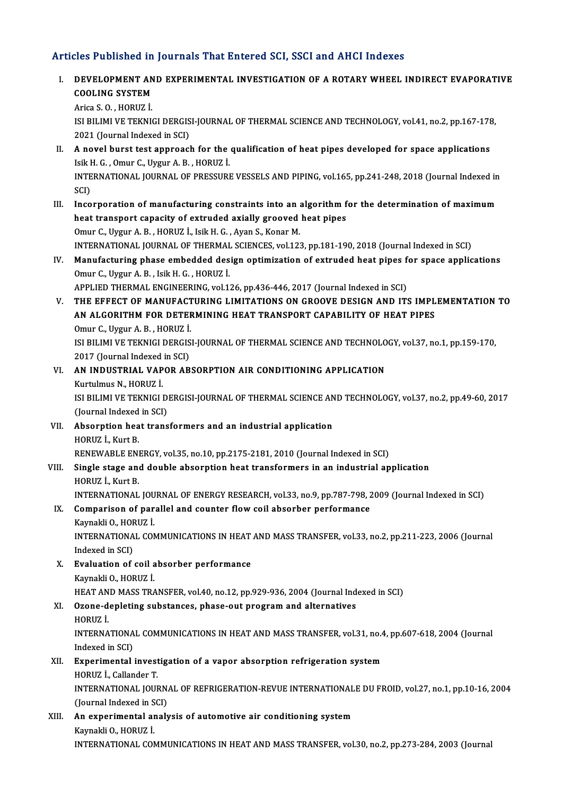### Articles Published in Journals That Entered SCI, SSCI and AHCI Indexes

Turicles Published in Journals That Entered SCI, SSCI and AHCI Indexes<br>I. DEVELOPMENT AND EXPERIMENTAL INVESTIGATION OF A ROTARY WHEEL INDIRECT EVAPORATIVE<br>COOLING SYSTEM DEVELOPMENT AN<br>COOLING SYSTEM<br>Arica S.O., HOPUZ I COOLING SYSTEM<br>Arica S.O., HORUZ İ.

COOLING SYSTEM<br>Arica S. O. , HORUZ İ.<br>ISI BILIMI VE TEKNIGI DERGISI-JOURNAL OF THERMAL SCIENCE AND TECHNOLOGY, vol.41, no.2, pp.167-178,<br>2021 (Jaurnal Indoved in SCI) Arica S. O. , HORUZ İ.<br>ISI BILIMI VE TEKNIGI DERGIS<br>2021 (Journal Indexed in SCI)<br>A novel burst test annuscel

- 2021 (Journal Indexed in SCI)<br>II. A novel burst test approach for the qualification of heat pipes developed for space applications 2021 (Journal Indexed in SCI)<br>A novel burst test approach for the<br>Isik H. G. , Omur C., Uygur A. B. , HORUZ İ.<br>INTERNATIONAL JOURNAL OF PRESSURI A novel burst test approach for the qualification of heat pipes developed for space applications<br>Isik H. G. , Omur C., Uygur A. B. , HORUZ İ.<br>INTERNATIONAL JOURNAL OF PRESSURE VESSELS AND PIPING, vol.165, pp.241-248, 2018 Isik I<br>INTE<br>SCI)<br>Inse INTERNATIONAL JOURNAL OF PRESSURE VESSELS AND PIPING, vol.165, pp.241-248, 2018 (Journal Indexed in<br>SCI)<br>III. Incorporation of manufacturing constraints into an algorithm for the determination of maximum<br>heat transport can
- SCI)<br>III. Incorporation of manufacturing constraints into an algorithm for the determination of maximum<br>heat transport capacity of extruded axially grooved heat pipes Omur C., Uygur A. B., HORUZ İ., Isik H. G., Ayan S., Konar M. heat transport capacity of extruded axially grooved heat pipes<br>Omur C., Uygur A. B. , HORUZ İ., Isik H. G. , Ayan S., Konar M.<br>INTERNATIONAL JOURNAL OF THERMAL SCIENCES, vol.123, pp.181-190, 2018 (Journal Indexed in SCI)<br>M Omur C., Uygur A. B. , HORUZ İ., Isik H. G. , Ayan S., Konar M.<br>INTERNATIONAL JOURNAL OF THERMAL SCIENCES, vol.123, pp.181-190, 2018 (Journal Indexed in SCI)<br>IV. Manufacturing phase embedded design optimization of extruded
- INTERNATIONAL JOURNAL OF THERMAL<br>Manufacturing phase embedded des<br>Omur C., Uygur A. B. , Isik H. G. , HORUZ İ.<br>APPLIED TUEPMAL ENCINEEPINC .vol 1. IV. Manufacturing phase embedded design optimization of extruded heat pipes for space applications<br>Omur C., Uygur A. B., Isik H. G., HORUZ İ.<br>APPLIED THERMAL ENGINEERING, vol.126, pp.436-446, 2017 (Journal Indexed in SCI)
- V. THE EFFECT OF MANUFACTURING LIMITATIONS ON GROOVE DESIGN AND ITS IMPLEMENTATION TO APPLIED THERMAL ENGINEERING, vol.126, pp.436-446, 2017 (Journal Indexed in SCI)<br>THE EFFECT OF MANUFACTURING LIMITATIONS ON GROOVE DESIGN AND ITS IMPL<br>AN ALGORITHM FOR DETERMINING HEAT TRANSPORT CAPABILITY OF HEAT PIPES<br>Omu THE EFFECT OF MANUFACT<br>AN ALGORITHM FOR DETEF<br>Omur C., Uygur A. B. , HORUZ İ.<br>ISL PILIMI VE TEKNICI DERCIS AN ALGORITHM FOR DETERMINING HEAT TRANSPORT CAPABILITY OF HEAT PIPES<br>Omur C., Uygur A. B. , HORUZ İ.<br>ISI BILIMI VE TEKNIGI DERGISI-JOURNAL OF THERMAL SCIENCE AND TECHNOLOGY, vol.37, no.1, pp.159-170,<br>2017 (Journal Indoved Omur C., Uygur A. B. , HORUZ İ.<br>ISI BILIMI VE TEKNIGI DERGIS<br>2017 (Journal Indexed in SCI)<br>AN INDUSTRIAL VAROR AR
- ISI BILIMI VE TEKNIGI DERGISI-JOURNAL OF THERMAL SCIENCE AND TECHNOLO<br>2017 (Journal Indexed in SCI)<br>VI. **AN INDUSTRIAL VAPOR ABSORPTION AIR CONDITIONING APPLICATION** 2017 (Journal Indexed in SCI)<br>VI. AN INDUSTRIAL VAPOR ABSORPTION AIR CONDITIONING APPLICATION<br>Kurtulmus N., HORUZ İ. AN INDUSTRIAL VAPOR ABSORPTION AIR CONDITIONING APPLICATION<br>Kurtulmus N., HORUZ İ.<br>ISI BILIMI VE TEKNIGI DERGISI-JOURNAL OF THERMAL SCIENCE AND TECHNOLOGY, vol.37, no.2, pp.49-60, 2017<br>(Jaunnal Indaved in SC) Kurtulmus N., HORUZ İ.<br>ISI BILIMI VE TEKNIGI D.<br>(Journal Indexed in SCI)<br>Absonntion bost trong

(Journal Indexed in SCI)<br>VII. Absorption heat transformers and an industrial application HORUZ İ., Kurt B.

RENEWABLE ENERGY, vol.35, no.10, pp.2175-2181, 2010 (Journal Indexed in SCI)

## HORUZ İ., Kurt B.<br>RENEWABLE ENERGY, vol.35, no.10, pp.2175-2181, 2010 (Journal Indexed in SCI)<br>VIII. Single stage and double absorption heat transformers in an industrial application<br>HOPUZ İ. Kurt P RENEWABLE EN<br>Single stage and<br>HORUZ İ., Kurt B.<br>INTERNATIONAL Single stage and double absorption heat transformers in an industrial application<br>HORUZ İ., Kurt B.<br>INTERNATIONAL JOURNAL OF ENERGY RESEARCH, vol.33, no.9, pp.787-798, 2009 (Journal Indexed in SCI)<br>Comparison of parallel a

# HORUZ İ., Kurt B.<br>INTERNATIONAL JOURNAL OF ENERGY RESEARCH, vol.33, no.9, pp.787-798, ;<br>IX. Comparison of parallel and counter flow coil absorber performance<br>Kaynakli O., HORUZ İ. INTERNATIONAL JOU<br>Comparison of par<br>Kaynakli O., HORUZ İ.<br>INTERNATIONAL CON

Comparison of parallel and counter flow coil absorber performance<br>Kaynakli O., HORUZ İ.<br>INTERNATIONAL COMMUNICATIONS IN HEAT AND MASS TRANSFER, vol.33, no.2, pp.211-223, 2006 (Journal<br>Indeved in SCD. Kaynakli O., HOF<br>INTERNATIONA<br>Indexed in SCI)<br>Evaluation of INTERNATIONAL COMMUNICATIONS IN HEAT<br>Indexed in SCI)<br>X. Evaluation of coil absorber performance<br>Kaupelii O. HOPUZ i

## Indexed in SCI)<br>**Evaluation of coil a**<br>Kaynakli O., HORUZ İ.<br>HEAT AND MASS TRA Kaynakli O., HORUZ İ.<br>HEAT AND MASS TRANSFER, vol.40, no.12, pp.929-936, 2004 (Journal Indexed in SCI) Kaynakli O., HORUZ İ.<br>HEAT AND MASS TRANSFER, vol.40, no.12, pp.929-936, 2004 (Journal Ind<br>XI. Ozone-depleting substances, phase-out program and alternatives<br>HOPUZ İ

# HEAT AN<br>Ozone-d<br>HORUZ İ.

Ozone-depleting substances, phase-out program and alternatives<br>HORUZ İ.<br>INTERNATIONAL COMMUNICATIONS IN HEAT AND MASS TRANSFER, vol.31, no.4, pp.607-618, 2004 (Journal<br>Indeved in SCD. HORUZ İ.<br>INTERNATIONA<br>Indexed in SCI)<br>Experimental INTERNATIONAL COMMUNICATIONS IN HEAT AND MASS TRANSFER, vol.31, no.4<br>Indexed in SCI)<br>XII. Experimental investigation of a vapor absorption refrigeration system<br>HOPHZ i. Collander T

# Indexed in SCI)<br>**Experimental invest<br>HORUZ İ., Callander T.**<br>INTERNATIONAL IOUR

Experimental investigation of a vapor absorption refrigeration system<br>HORUZ İ., Callander T.<br>INTERNATIONAL JOURNAL OF REFRIGERATION-REVUE INTERNATIONALE DU FROID, vol.27, no.1, pp.10-16, 2004<br>(Journal Indoved in SCD HORUZ İ., Callander T.<br>INTERNATIONAL JOURN.<br>(Journal Indexed in SCI)<br>An evnerimentel anel. INTERNATIONAL JOURNAL OF REFRIGERATION-REVUE INTERNATIONAL<br>(Journal Indexed in SCI)<br>XIII. An experimental analysis of automotive air conditioning system<br>Kaupaki O. HOPUZ i

### (Journal Indexed in SCI)<br>An experimental analysis of automotive air conditioning system<br>Kaynakli O., HORUZ İ. INTERNATIONAL COMMUNICATIONS IN HEAT AND MASS TRANSFER, vol.30, no.2, pp.273-284, 2003 (Journal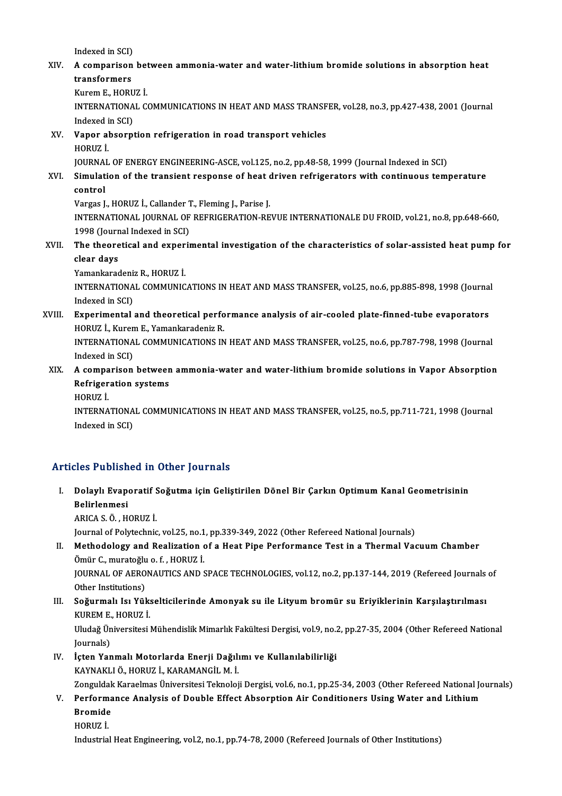Indexed in SCI)

## Indexed in SCI)<br>XIV. A comparison between ammonia-water and water-lithium bromide solutions in absorption heat<br>transformans Indexed in SCI)<br>A comparison<br>transformers<br>Kuron E. HOPI **A comparison bet<br>transformers<br>Kurem E., HORUZ İ.**<br>INTERNATIONAL *C*

transformers<br>Kurem E., HORUZ İ.<br>INTERNATIONAL COMMUNICATIONS IN HEAT AND MASS TRANSFER, vol.28, no.3, pp.427-438, 2001 (Journal Kurem E., HORU<br>INTERNATIONA<br>Indexed in SCI)<br>Vaner absorni INTERNATIONAL COMMUNICATIONS IN HEAT AND MASS TRANSF<br>Indexed in SCI)<br>XV. Vapor absorption refrigeration in road transport vehicles<br>HOPIIZ i

# Indexed i<br><mark>Vapor al</mark><br>HORUZ İ.<br>JOUPNAL Vapor absorption refrigeration in road transport vehicles<br>HORUZ İ.<br>JOURNAL OF ENERGY ENGINEERING-ASCE, vol.125, no.2, pp.48-58, 1999 (Journal Indexed in SCI)<br>Simulation of the transient response of best driven refrigerator

## HORUZ İ.<br>JOURNAL OF ENERGY ENGINEERING-ASCE, vol.125, no.2, pp.48-58, 1999 (Journal Indexed in SCI)<br>XVI. Simulation of the transient response of heat driven refrigerators with continuous temperature<br>control JOURNA<br><mark>Simulat</mark><br>control<br><sup>Vorgos I</sup> Simulation of the transient response of heat **control**<br>control<br>Vargas J., HORUZ İ., Callander T., Fleming J., Parise J.<br>INTERNATIONAL JOURNAL OF REFRICERATION RE

control<br>Vargas J., HORUZ İ., Callander T., Fleming J., Parise J.<br>INTERNATIONAL JOURNAL OF REFRIGERATION-REVUE INTERNATIONALE DU FROID, vol.21, no.8, pp.648-660, Vargas J., HORUZ İ., Callander 1<br>INTERNATIONAL JOURNAL OF<br>1998 (Journal Indexed in SCI)<br>The theoratical and exneri INTERNATIONAL JOURNAL OF REFRIGERATION-REVUE INTERNATIONALE DU FROID, vol.21, no.8, pp.648-660,<br>1998 (Journal Indexed in SCI)<br>XVII. The theoretical and experimental investigation of the characteristics of solar-assisted he

# 1998 (Journ<br>The theore<br>clear days<br>Vemeniance The theoretical and exper<br>clear days<br>Yamankaradeniz R., HORUZ İ.<br>INTERNATIONAL COMAUNIC

Yamankaradeniz R., HORUZ İ.

clear days<br>Yamankaradeniz R., HORUZ İ.<br>INTERNATIONAL COMMUNICATIONS IN HEAT AND MASS TRANSFER, vol.25, no.6, pp.885-898, 1998 (Journal<br>Indexed in SCI) INTERNATIONAL COMMUNICATIONS IN HEAT AND MASS TRANSFER, vol.25, no.6, pp.885-898, 1998 (Journa<br>Indexed in SCI)<br>XVIII. Experimental and theoretical performance analysis of air-cooled plate-finned-tube evaporators<br>HOBIEZ L.

Indexed in SCI)<br><mark>Experimental and theoretical perfo</mark><br>HORUZ İ., Kurem E., Yamankaradeniz R.<br>INTERNATIONAL COMMUNICATIONS IN Experimental and theoretical performance analysis of air-cooled plate-finned-tube evaporators<br>HORUZ İ., Kurem E., Yamankaradeniz R.<br>INTERNATIONAL COMMUNICATIONS IN HEAT AND MASS TRANSFER, vol.25, no.6, pp.787-798, 1998 (Jo HORUZ İ., Kurem E., Yamankaradeniz R.<br>INTERNATIONAL COMMUNICATIONS IN HEAT AND MASS TRANSFER, vol.25, no.6, pp.787-798, 1998 (Journal<br>Indexed in SCI) INTERNATIONAL COMMUNICATIONS IN HEAT AND MASS TRANSFER, vol.25, no.6, pp.787-798, 1998 (Journal<br>Indexed in SCI)<br>XIX. A comparison between ammonia-water and water-lithium bromide solutions in Vapor Absorption<br>Refrigeration

# Indexed in SCI)<br>A comparison between<br>Refrigeration systems<br>HOPUZ İ A compa<br>Refriger<br>HORUZ İ.<br>INTERNA

Refrigeration systems<br>HORUZ İ.<br>INTERNATIONAL COMMUNICATIONS IN HEAT AND MASS TRANSFER, vol.25, no.5, pp.711-721, 1998 (Journal HORUZ İ.<br>INTERNATIONA<br>Indexed in SCI)

# Articles Published in Other Journals

- rticles Published in Other Journals<br>I. Dolaylı Evaporatif Soğutma için Geliştirilen Dönel Bir Çarkın Optimum Kanal Geometrisinin<br>Relinlermesi nce i abiisii<br>Dolaylı Evape<br>Belirlenmesi<br>ABIGA S Ö Dolaylı Evaporatif S<br>Belirlenmesi<br>ARICA S. Ö. , HORUZ İ.<br>Journal of Bolutechnia Belirlenmesi<br>ARICA S. Ö. , HORUZ İ.<br>Journal of Polytechnic, vol.25, no.1, pp.339-349, 2022 (Other Refereed National Journals)<br>Methodelegy and Boalization of a Host Bine Berfermance Test in a Thermal Vas
	-

### ARICA S. Ö. , HORUZ İ.<br>Journal of Polytechnic, vol.25, no.1, pp.339-349, 2022 (Other Refereed National Journals)<br>II. Methodology and Realization of a Heat Pipe Performance Test in a Thermal Vacuum Chamber<br>Ömür C., muratoğl Journal of Polytechnic, vol.25, no.1<br>Methodology and Realization<br>Ömür C., muratoğlu o. f. , HORUZ İ.<br>JOUPNAL OF AEPONAUTICS AND 9 Methodology and Realization of a Heat Pipe Performance Test in a Thermal Vacuum Chamber<br>Ömür C., muratoğlu o. f. , HORUZ İ.<br>JOURNAL OF AERONAUTICS AND SPACE TECHNOLOGIES, vol.12, no.2, pp.137-144, 2019 (Refereed Journals o

Ömür C., muratoğlu<br>JOURNAL OF AERO<br>Other Institutions)<br>Soğurmalı Jai Vül JOURNAL OF AERONAUTICS AND SPACE TECHNOLOGIES, vol.12, no.2, pp.137-144, 2019 (Refereed Journals<br>Other Institutions)<br>III. Soğurmalı Isı Yükselticilerinde Amonyak su ile Lityum bromür su Eriyiklerinin Karşılaştırılması<br>EURE

## Other Institutions)<br>III. Soğurmalı Isı Yükselticilerinde Amonyak su ile Lityum bromür su Eriyiklerinin Karşılaştırılması<br>KUREM E., HORUZ İ. Soğurmalı Isı Yükselticilerinde Amonyak su ile Lityum bromür su Eriyiklerinin Karşılaştırılması<br>KUREM E., HORUZ İ.<br>Uludağ Üniversitesi Mühendislik Mimarlık Fakültesi Dergisi, vol.9, no.2, pp.27-35, 2004 (Other Refereed Nat

KUREM E.<br>Uludağ Ün<br>Journals)<br>İsten Ver Uludağ Üniversitesi Mühendislik Mimarlık Fakültesi Dergisi, vol.9, no.2<br>Journals)<br>IV. İçten Yanmalı Motorlarda Enerji Dağılımı ve Kullanılabilirliği<br>KAVNAKLLÖ HOPUZİ KARAMANCİLMİ

# Journals)<br>İçten Yanmalı Motorlarda Enerji Dağılı<br>KAYNAKLI Ö., HORUZ İ., KARAMANGİL M. İ.<br>Zanguldak Karaslmas Üniversitesi Teknelei İçten Yanmalı Motorlarda Enerji Dağılımı ve Kullanılabilirliği<br>KAYNAKLI Ö., HORUZ İ., KARAMANGİL M. İ.<br>Zonguldak Karaelmas Üniversitesi Teknoloji Dergisi, vol.6, no.1, pp.25-34, 2003 (Other Refereed National Journals)<br>Perf

### KAYNAKLI Ö., HORUZ İ., KARAMANGİL M. İ.<br>Zonguldak Karaelmas Üniversitesi Teknoloji Dergisi, vol.6, no.1, pp.25-34, 2003 (Other Refereed National Jo<br>V. Performance Analysis of Double Effect Absorption Air Conditioners U Zonguldak<br><mark>Performa</mark><br>Bromide<br>HOPUZ İ Perfor<mark>m</mark><br>Bromide<br>HORUZ İ. Bromide<br>HORUZ İ.<br>Industrial Heat Engineering, vol.2, no.1, pp.74-78, 2000 (Refereed Journals of Other Institutions)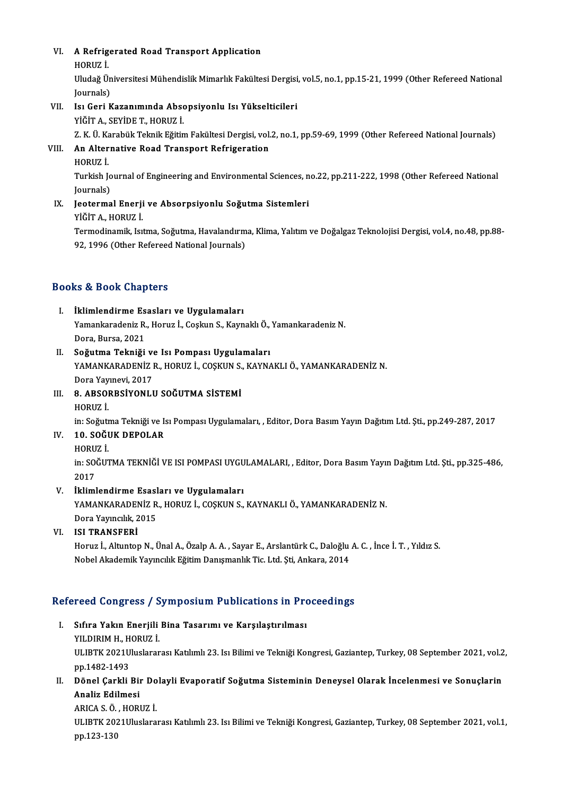# VI. A Refrigerated Road Transport Application **A Refrig<br>HORUZ İ.**<br>Huda<del>ğ Ü</del>.

A Refrigerated Road Transport Application<br>HORUZ İ.<br>Uludağ Üniversitesi Mühendislik Mimarlık Fakültesi Dergisi, vol.5, no.1, pp.15-21, 1999 (Other Refereed National HORUZ İ.<br>Uludağ Ün<br>Journals)<br>Je: Geri K

## Journals)<br>VII. Isı Geri Kazanımında Absopsiyonlu Isı Yükselticileri

YİĞİTA.,SEYİDET.,HORUZ İ.

Isı Geri Kazanımında Absopsiyonlu Isı Yükselticileri<br>YİĞİT A., SEYİDE T., HORUZ İ.<br>Z. K. Ü. Karabük Teknik Eğitim Fakültesi Dergisi, vol.2, no.1, pp.59-69, 1999 (Other Refereed National Journals)<br>An Alternative Bood Transp

- VIII. An Alternative Road Transport Refrigeration<br>HORUZ İ. Z K Ü Ka<br><mark>An Alter</mark><br>HORUZ İ.<br>Turkish L
	-

An Alternative Road Transport Refrigeration<br>HORUZ İ.<br>Turkish Journal of Engineering and Environmental Sciences, no.22, pp.211-222, 1998 (Other Refereed National HORUZ İ.<br>Turkish Jo<br>Journals)<br>Joctorma Turkish Journal of Engineering and Environmental Sciences, n<br>Journals)<br>IX. Jeotermal Enerji ve Absorpsiyonlu Soğutma Sistemleri<br>vičin A. HOPUZ i

Journals)<br>IX. Jeotermal Enerji ve Absorpsiyonlu Soğutma Sistemleri<br>YİĞİTA., HORUZ İ. Jeotermal Enerji ve Absorpsiyonlu Soğutma Sistemleri<br>YİĞİT A., HORUZ İ.<br>Termodinamik, Isıtma, Soğutma, Havalandırma, Klima, Yalıtım ve Doğalgaz Teknolojisi Dergisi, vol.4, no.48, pp.88-

YİĞİT A., HORUZ İ.<br>Termodinamik, Isıtma, Soğutma, Havalandırm<br>92, 1996 (Other Refereed National Journals) 92, 1996 (Other Refereed National Journals)<br>Books & Book Chapters

- ooks & Book Chapters<br>I. İklimlendirme Esasları ve Uygulamaları<br>I. Yamankandanir B. Haruz İ. Caslan S. Kavp Yamankaradeniz R., Horuz İ., Coşkun S., Kaynaklı Ö., Yamankaradeniz N.<br>Dora, Bursa, 2021 İklimlendirme Es<br>Yamankaradeniz R.<br>Dora, Bursa, 2021<br>Soğutma Tekniği
- II. Soğutma Tekniği ve Isı Pompası Uygulamaları Dora, Bursa, 2021<br>S**oğutma Tekniği ve Isı Pompası Uygulamaları**<br>YAMANKARADENİZ R., HORUZ İ., COŞKUN S., KAYNAKLI Ö., YAMANKARADENİZ N.<br>Dora Yayınevi<sup>,</sup> 2017 S<mark>oğutma Tekniği v</mark><br>YAMANKARADENİZ I<br>Dora Yayınevi, 2017<br>9. ABSOBBSİVONLI YAMANKARADENİZ R., HORUZ İ., COŞKUN S.<br>Dora Yayınevi, 2017<br>III. 8. ABSORBSİYONLU SOĞUTMA SİSTEMİ
- Dora Yay<br>**8. ABSO**I<br>HORUZ İ.

8. ABSORBSİYONLU SOĞUTMA SİSTEMİ<br>HORUZ İ.<br>in: Soğutma Tekniği ve Isı Pompası Uygulamaları, , Editor, Dora Basım Yayın Dağıtım Ltd. Şti., pp.249-287, 2017<br>10. SOĞUK DEROLAR

# HORUZ İ.<br>in: Soğutma Tekniği ve I<br>IV. **10. SOĞUK DEPOLAR**<br>HORUZ İ. in: Soğut<mark>ı</mark><br>10. SOĞI<br>HORUZ İ.

10. SOĞUK DEPOLAR<br>HORUZ İ.<br>in: SOĞUTMA TEKNİĞİ VE ISI POMPASI UYGULAMALARI, , Editor, Dora Basım Yayın Dağıtım Ltd. Şti., pp.325-486,<br>2017 HORU<br>in: SO<br>2017<br>ikliml

### V. İklimlendirme Esasları ve Uygulamaları

2017<br>İklimlendirme Esasları ve Uygulamaları<br>YAMANKARADENİZ R., HORUZ İ., COŞKUN S., KAYNAKLI Ö., YAMANKARADENİZ N.<br>Dera Yayıngılık 2015 İklimlendirme Esasl<br>YAMANKARADENİZ R<br>Dora Yayıncılık, 2015<br>ISI TRANSEERİ

### Dora Yayıncılık, 2015<br>VI. ISI TRANSFERİ

Dora Yayıncılık, 2015<br>ISI TRANSFERİ<br>Horuz İ., Altuntop N., Ünal A., Özalp A. A. , Sayar E., Arslantürk C., Daloğlu A. C. , İnce İ. T. , Yıldız S.<br>Nobel Akademik Yayıncılık Fğitim Danısmanlık Tis I.td. Sti. Ankara, 2014 ISI TRANSFERİ<br>Horuz İ., Altuntop N., Ünal A., Özalp A. A. , Sayar E., Arslantürk C., Daloğlu<br>Nobel Akademik Yayıncılık Eğitim Danışmanlık Tic. Ltd. Şti, Ankara, 2014

# Nobel Akademik rayincilik Egium Danişmanlık Tic. Lud. 5u, Ankara, 2014<br>Refereed Congress / Symposium Publications in Proceedings

- efereed Congress / Symposium Publications in Pro<br>I. Sıfıra Yakın Enerjili Bina Tasarımı ve Karşılaştırılması<br>XII DIBIM H. HOBIIZ İ. I. Sıfıra Yakın Enerjili Bina Tasarımı ve Karşılaştırılması ULIBTK 2021Uluslararası Katılımlı 23. Isı Bilimi ve Tekniği Kongresi, Gaziantep, Turkey, 08 September 2021, vol.2,<br>pp.1482-1493 YILDIRIM H., HORUZ İ. ULIBTK 2021Uluslararası Katılımlı 23. Isı Bilimi ve Tekniği Kongresi, Gaziantep, Turkey, 08 September 2021, vol.2<br>11. Dönel Çarkli Bir Dolayli Evaporatif Soğutma Sisteminin Deneysel Olarak İncelenmesi ve Sonuçlarin<br>Analiz
- pp.1482-1493<br>Dönel Çarkli Biı<br>Analiz Edilmesi<br>APICA S.Ö. HOPI Dönel Çarkli Bir Do<br>Analiz Edilmesi<br>ARICA S.Ö., HORUZ İ.<br>HLIPTK 2021Illuslara

ARICA S. Ö., HORUZ İ.

Analiz Edilmesi<br>ARICA S. Ö. , HORUZ İ.<br>ULIBTK 2021Uluslararası Katılımlı 23. Isı Bilimi ve Tekniği Kongresi, Gaziantep, Turkey, 08 September 2021, vol.1,<br>pp.123-130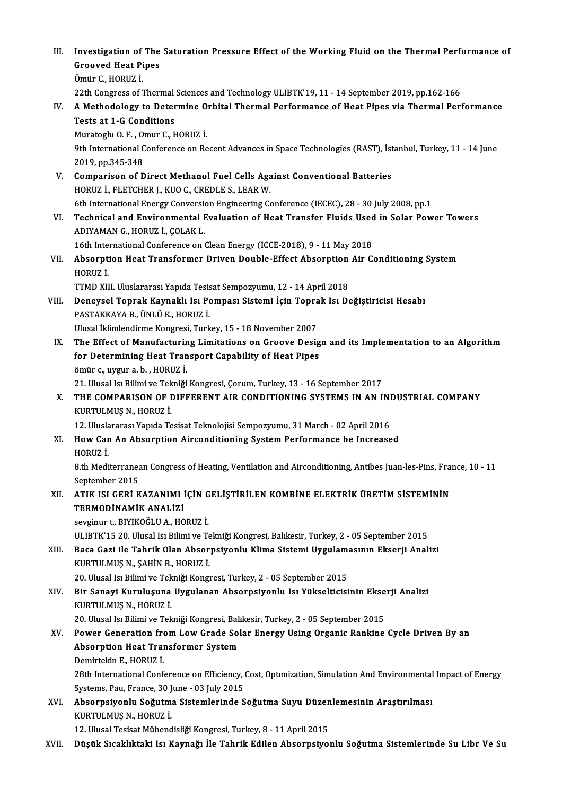- III. Investigation of The Saturation Pressure Effect of the Working Fluid on the Thermal Performance of Investigation of The<br>Grooved Heat Pipes<br>Ömür C. HOPUZ İ Investigation of<br>Grooved Heat Pi<br>Ömür C., HORUZ İ.<br><sup>22th Congress of İ</sub></sup> Grooved Heat Pipes<br>Ömür C., HORUZ İ.<br>22th Congress of Thermal Sciences and Technology ULIBTK'19, 11 - 14 September 2019, pp.162-166<br>A Methodelegy te Determine Orbital Thermal Berformance of Heat Bines via Thermal Bert
- Ömür C., HORUZ İ.<br>22th Congress of Thermal Sciences and Technology ULIBTK'19, 11 14 September 2019, pp.162-166<br>IV. A Methodology to Determine Orbital Thermal Performance of Heat Pipes via Thermal Performance<br>Tests at 22th Congress of Thermal<br>A Methodology to Deter<br>Tests at 1-G Conditions<br>Murategly O F - Omur C L A Methodology to Determine O<br>Tests at 1-G Conditions<br>Muratoglu O.F., Omur C., HORUZ İ.<br><sup>Oth</sup> International Conference on Be

Tests at 1-G Conditions<br>Muratoglu O. F. , Omur C., HORUZ İ.<br>9th International Conference on Recent Advances in Space Technologies (RAST), İstanbul, Turkey, 11 - 14 June<br>2019. pp.345.349. Muratoglu O.F., O<br>19th International C<br>2019, pp.345-348<br>Comparison of D 9th International Conference on Recent Advances in Space Technologies (RAST), Ist<br>2019, pp.345-348<br>V. Comparison of Direct Methanol Fuel Cells Against Conventional Batteries<br>400017 LELETCUER LEVIO C. CREDLES, LEAR W.

- 2019, pp.345-348<br>Comparison of Direct Methanol Fuel Cells Aga<br>HORUZ İ., FLETCHER J., KUO C., CREDLE S., LEAR W.<br>6th International Energy Conversion Engineering Co HORUZ İ., FLETCHER J., KUO C., CREDLE S., LEAR W.<br>6th International Energy Conversion Engineering Conference (IECEC), 28 - 30 July 2008, pp.1
- HORUZ İ., FLETCHER J., KUO C., CREDLE S., LEAR W.<br>6th International Energy Conversion Engineering Conference (IECEC), 28 30 July 2008, pp.1<br>VI. Technical and Environmental Evaluation of Heat Transfer Fluids Used in Solar ADIYAMANG.,HORUZ İ.,ÇOLAKL. Technical and Environmental Evaluation of Heat Transfer Fluids Used<br>ADIYAMAN G., HORUZ İ., ÇOLAK L.<br>16th International Conference on Clean Energy (ICCE-2018), 9 - 11 May 2018<br>Abecurrian Heat Transformer Driven Deuble Effec

ADIYAMAN G., HORUZ İ., ÇOLAK L.<br>16th International Conference on Clean Energy (ICCE-2018), 9 - 11 May 2018<br>VII. Absorption Heat Transformer Driven Double-Effect Absorption Air Conditioning System<br>HOPUZ İ 16th International Conference on Clean Energy (ICCE-2018), 9 - 11 May 2018<br>Absorption Heat Transformer Driven Double-Effect Absorption Air C<br>HORUZ İ.<br>TTMD XIII. Uluslararası Yapıda Tesisat Sempozyumu, 12 - 14 April 2018 Absorption Heat Transformer Driven Double-Effect Absorption<br>HORUZ İ.<br>TTMD XIII. Uluslararası Yapıda Tesisat Sempozyumu, 12 - 14 April 2018<br>Penevçel Tennak Kevnaklı Jau Bemnası Sistemi İsin Tennak Jau De

- VI I. Deneysel Toprak Kaynaklı Isı Pompası Sistemi İçin Toprak Isı Değiştiricisi Hesabı TTMD XIII. Uluslararası Yapıda Tesis<br>Deneysel Toprak Kaynaklı Isı Po<br>PASTAKKAYA B., ÜNLÜ K., HORUZ İ.<br>Ulusel İlimlendinme Kongresi Turk Deneysel Toprak Kaynaklı Isı Pompası Sistemi İçin Topra<br>PASTAKKAYA B., ÜNLÜ K., HORUZ İ.<br>Ulusal İklimlendirme Kongresi, Turkey, 15 - 18 November 2007<br>The Effect of Manufacturing Limitations on Croeve Desis PASTAKKAYA B., ÜNLÜ K., HORUZ İ.<br>Ulusal İklimlendirme Kongresi, Turkey, 15 - 18 November 2007<br>IX. The Effect of Manufacturing Limitations on Groove Design and its Implementation to an Algorithm
- Ulusal İklimlendirme Kongresi, Turkey, 15 18 November 2007<br>The Effect of Manufacturing Limitations on Groove Desig<br>for Determining Heat Transport Capability of Heat Pipes<br>Ömür Guygur 9 by HOPUZ İ The Effect of Manufacturin<br>for Determining Heat Tran<br>ömür c., uygur a.b. , HORUZ İ.<br>21 Illucal Ia Bilimi ve Telmiği ömür c., uygur a. b. , HORUZ İ.<br>21. Ulusal Isı Bilimi ve Tekniği Kongresi, Çorum, Turkey, 13 - 16 September 2017
- ömür c., uygur a. b. , HORUZ İ.<br>21. Ulusal Isı Bilimi ve Tekniği Kongresi, Çorum, Turkey, 13 16 September 2017<br>X. THE COMPARISON OF DIFFERENT AIR CONDITIONING SYSTEMS IN AN INDUSTRIAL COMPANY<br>KURTIU MUS N. HORUZ İ 21. Ulusal Isı Bilimi ve Tek<br>THE COMPARISON OF I<br>KURTULMUŞ N., HORUZ İ.<br>12. Uluslararası Yanıda Te THE COMPARISON OF DIFFERENT AIR CONDITIONING SYSTEMS IN AN INI<br>KURTULMUŞ N., HORUZ İ.<br>12. Uluslararası Yapıda Tesisat Teknolojisi Sempozyumu, 31 March - 02 April 2016<br>How Can An Absorntion Airsonditioning System Borformans

## KURTULMUŞ N., HORUZ İ.<br>12. Uluslararası Yapıda Tesisat Teknolojisi Sempozyumu, 31 March - 02 April 2016<br>XI. How Can An Absorption Airconditioning System Performance be Increased<br>HORUZ İ 12. Ulusla<br>**How Car**<br>HORUZ İ. How Can An Absorption Airconditioning System Performance be Increased<br>HORUZ İ.<br>8.th Mediterranean Congress of Heating, Ventilation and Airconditioning, Antibes Juan-les-Pins, France, 10 - 11<br>Sentember 2015

HORUZ İ.<br>8.th Mediterranea<br>September 2015<br>ATIV ISL CEPİ V 8.th Mediterranean Congress of Heating, Ventilation and Airconditioning, Antibes Juan-les-Pins, Fra<br>September 2015<br>XII. ATIK ISI GERİ KAZANIMI İÇİN GELİŞTİRİLEN KOMBİNE ELEKTRİK ÜRETİM SİSTEMİNİN<br>TERMODİNAMİZ ANALİZİ

# September 2015<br>ATIK ISI GERİ KAZANIMI İ<br>TERMODİNAMİK ANALİZİ<br>sevginun ta PIVIKOĞI ILA HO

TERMODİNAMİK ANALİZİ<br>sevginur t., BIYIKOĞLU A., HORUZ İ.

ULIBTK'15 20. Ulusal Isı Bilimi ve Tekniği Kongresi, Balıkesir, Turkey, 2 - 05 September 2015

sevginur t., BIYIKOĞLU A., HORUZ İ.<br>ULIBTK'15 20. Ulusal Isı Bilimi ve Tekniği Kongresi, Balıkesir, Turkey, 2 - 05 September 2015<br>XIII. Baca Gazi ile Tahrik Olan Absorpsiyonlu Klima Sistemi Uygulamasının Ekserji Analiz KURTULMUŞ N., ŞAHİN B., HORUZ İ.<br>20. Ulusal Isı Bilimi ve Tekniği Kongresi, Turkey, 2 - 05 September 2015 Baca Gazi ile Tahrik Olan Absorpsiyonlu Klima Sistemi Uygulam:<br>KURTULMUŞ N., ŞAHİN B., HORUZ İ.<br>20. Ulusal Isı Bilimi ve Tekniği Kongresi, Turkey, 2 - 05 September 2015<br>Bir Sanavi Kurulusuna Hygulanan Absorpsiyonlu Isı Yük

### XIV. Bir Sanayi Kuruluşuna Uygulanan Absorpsiyonlu Isı Yükselticisinin Ekserji Analizi KURTULMUŞ N., HORUZ İ.

20. Ulusal Isı Bilimi ve Tekniği Kongresi, Balıkesir, Turkey, 2 - 05 September 2015

### KURTULMUŞ N., HORUZ İ.<br>20. Ulusal Isı Bilimi ve Tekniği Kongresi, Balıkesir, Turkey, 2 - 05 September 2015<br>XV. Power Generation from Low Grade Solar Energy Using Organic Rankine Cycle Driven By an<br>Abecantion Hest Trans 20. Ulusal Isı Bilimi ve Tekniği Kongresi, Balı<br>Power Generation from Low Grade Sol<br>Absorption Heat Transformer System<br>Domintekin E. HOBUZ İ Power Generation fro<br>Absorption Heat Trai<br>Demirtekin E., HORUZ İ.<br>29th International Conf Absorption Heat Transformer System<br>Demirtekin E., HORUZ İ.<br>28th International Conference on Efficiency, Cost, Optımization, Simulation And Environmental Impact of Energy<br>Systems, Ray, Enance. 30 June., 03 July 2015

Demirtekin E., HORUZ İ.<br>28th International Conference on Efficiency, (<br>Systems, Pau, France, 30 June - 03 July 2015<br>Abeonnaivonlu Sožutma Sistemlerinde S 28th International Conference on Efficiency, Cost, Optimization, Simulation And Environmental<br>Systems, Pau, France, 30 June - 03 July 2015<br>XVI. Absorpsiyonlu Soğutma Sistemlerinde Soğutma Suyu Düzenlemesinin Araştırılması<br>

Systems, Pau, France, 30 J<br><mark>Absorpsiyonlu Soğutm</mark><br>KURTULMUŞ N., HORUZ İ.<br>12 Hlugal Tesisat Mühand Absorpsiyonlu Soğutma Sistemlerinde Soğutma Suyu Düzen<br>KURTULMUŞ N., HORUZ İ.<br>12. Ulusal Tesisat Mühendisliği Kongresi, Turkey, 8 - 11 April 2015<br>Dügük Sıcakklıtaki JevKaynağı ile Tabrik Edilen Absorpsiyo KURTULMUŞ N., HORUZ İ.<br>12. Ulusal Tesisat Mühendisliği Kongresi, Turkey, 8 - 11 April 2015<br>XVII. Düşük Sıcaklıktaki Isı Kaynağı İle Tahrik Edilen Absorpsiyonlu Soğutma Sistemlerinde Su Libr Ve Su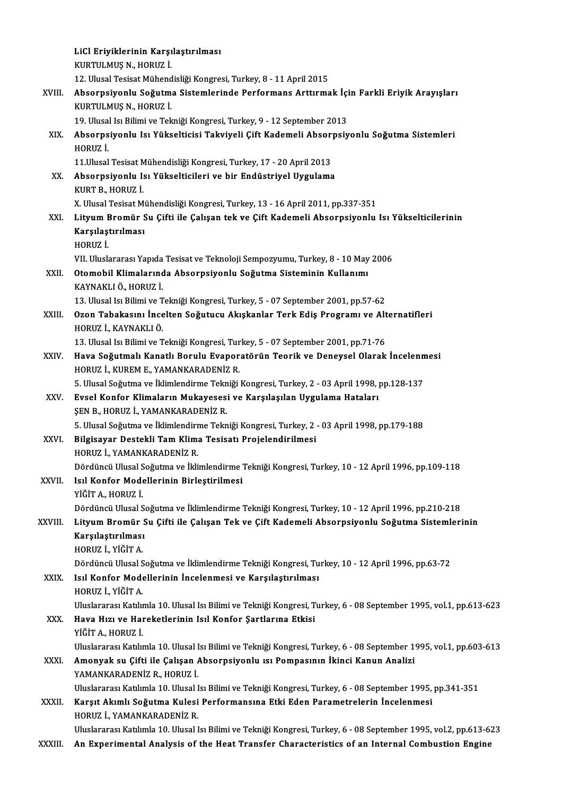|              | LiCl Eriyiklerinin Karşılaştırılması                                                                                                                                                                                 |
|--------------|----------------------------------------------------------------------------------------------------------------------------------------------------------------------------------------------------------------------|
|              | KURTULMUŞ N., HORUZ İ.                                                                                                                                                                                               |
|              | 12. Ulusal Tesisat Mühendisliği Kongresi, Turkey, 8 - 11 April 2015                                                                                                                                                  |
| XVIII.       | Absorpsiyonlu Soğutma Sistemlerinde Performans Arttırmak İçin Farkli Eriyik Arayışları<br>KURTULMUŞ N., HORUZ İ.                                                                                                     |
|              | 19. Ulusal Isı Bilimi ve Tekniği Kongresi, Turkey, 9 - 12 September 2013                                                                                                                                             |
| XIX.         | Absorpsiyonlu Isı Yükselticisi Takviyeli Çift Kademeli Absorpsiyonlu Soğutma Sistemleri<br>HORUZ İ.                                                                                                                  |
|              | 11. Ulusal Tesisat Mühendisliği Kongresi, Turkey, 17 - 20 April 2013                                                                                                                                                 |
| XX.          | Absorpsiyonlu Isı Yükselticileri ve bir Endüstriyel Uygulama                                                                                                                                                         |
|              | KURT B., HORUZ İ.                                                                                                                                                                                                    |
|              | X. Ulusal Tesisat Mühendisliği Kongresi, Turkey, 13 - 16 April 2011, pp.337-351                                                                                                                                      |
| XXI.         | Lityum Bromür Su Çifti ile Çalışan tek ve Çift Kademeli Absorpsiyonlu Isı Yükselticilerinin<br>Karşılaştırılması<br>HORUZ İ.                                                                                         |
|              | VII. Uluslararası Yapıda Tesisat ve Teknoloji Sempozyumu, Turkey, 8 - 10 May 2006                                                                                                                                    |
| XXII.        | Otomobil Klimalarında Absorpsiyonlu Soğutma Sisteminin Kullanımı<br>KAYNAKLI Ö., HORUZ İ.                                                                                                                            |
|              | 13. Ulusal Isı Bilimi ve Tekniği Kongresi, Turkey, 5 - 07 September 2001, pp.57-62                                                                                                                                   |
| XXIII.       | Ozon Tabakasını İncelten Soğutucu Akışkanlar Terk Ediş Programı ve Alternatifleri<br>HORUZ İ., KAYNAKLI Ö.                                                                                                           |
|              | 13. Ulusal Isı Bilimi ve Tekniği Kongresi, Turkey, 5 - 07 September 2001, pp.71-76                                                                                                                                   |
| XXIV.        | Hava Soğutmalı Kanatlı Borulu Evaporatörün Teorik ve Deneysel Olarak İncelenmesi<br>HORUZ İ., KUREM E., YAMANKARADENİZ R.                                                                                            |
|              | 5. Ulusal Soğutma ve İklimlendirme Tekniği Kongresi, Turkey, 2 - 03 April 1998, pp.128-137                                                                                                                           |
| XXV.         | Evsel Konfor Klimaların Mukayesesi ve Karşılaşılan Uygulama Hataları<br>ŞEN B., HORUZ İ., YAMANKARADENİZ R.                                                                                                          |
|              | 5. Ulusal Soğutma ve İklimlendirme Tekniği Kongresi, Turkey, 2 - 03 April 1998, pp.179-188                                                                                                                           |
| XXVI.        | Bilgisayar Destekli Tam Klima Tesisatı Projelendirilmesi                                                                                                                                                             |
|              | HORUZ İ, YAMANKARADENİZ R.                                                                                                                                                                                           |
|              | Dördüncü Ulusal Soğutma ve İklimlendirme Tekniği Kongresi, Turkey, 10 - 12 April 1996, pp.109-118                                                                                                                    |
| <b>XXVII</b> | Isıl Konfor Modellerinin Birleştirilmesi<br>YİĞİT A., HORUZ İ.                                                                                                                                                       |
|              | Dördüncü Ulusal Soğutma ve İklimlendirme Tekniği Kongresi, Turkey, 10 - 12 April 1996, pp.210-218                                                                                                                    |
| XXVIII.      | Lityum Bromür Su Çifti ile Çalışan Tek ve Çift Kademeli Absorpsiyonlu Soğutma Sistemlerinin                                                                                                                          |
|              | Karşılaştırılması<br>HORUZ İ., YİĞİT A.                                                                                                                                                                              |
|              | Dördüncü Ulusal Soğutma ve İklimlendirme Tekniği Kongresi, Turkey, 10 - 12 April 1996, pp.63-72                                                                                                                      |
| XXIX.        | Isıl Konfor Modellerinin İncelenmesi ve Karşılaştırılması<br>HORUZ İ., YİĞİT A.                                                                                                                                      |
|              | Uluslararası Katılımla 10. Ulusal Isı Bilimi ve Tekniği Kongresi, Turkey, 6 - 08 September 1995, vol.1, pp.613-623                                                                                                   |
| XXX.         | Hava Hızı ve Hareketlerinin Isıl Konfor Şartlarına Etkisi                                                                                                                                                            |
|              | YİĞİT A., HORUZ İ.                                                                                                                                                                                                   |
|              | Uluslararası Katılımla 10. Ulusal Isı Bilimi ve Tekniği Kongresi, Turkey, 6 - 08 September 1995, vol.1, pp.603-613                                                                                                   |
| XXXI.        | Amonyak su Çifti ile Çalışan Absorpsiyonlu ısı Pompasının İkinci Kanun Analizi<br>YAMANKARADENİZ R., HORUZ İ.                                                                                                        |
|              | Uluslararası Katılımla 10. Ulusal Isı Bilimi ve Tekniği Kongresi, Turkey, 6 - 08 September 1995, pp.341-351                                                                                                          |
| XXXII.       | Karşıt Akımlı Soğutma Kulesi Performansına Etki Eden Parametrelerin İncelenmesi<br>HORUZ İ., YAMANKARADENİZ R.                                                                                                       |
| XXXIII.      | Uluslararası Katılımla 10. Ulusal Isı Bilimi ve Tekniği Kongresi, Turkey, 6 - 08 September 1995, vol.2, pp.613-623<br>An Experimental Analysis of the Heat Transfer Characteristics of an Internal Combustion Engine |